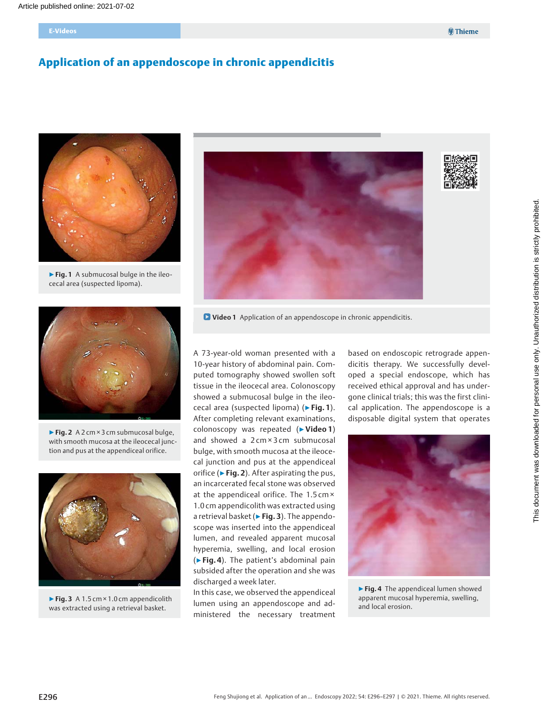# Application of an appendoscope in chronic appendicitis



▶ Fig. 1 A submucosal bulge in the ileocecal area (suspected lipoma).



▶Fig. 2 A 2 cm × 3 cm submucosal bulge, with smooth mucosa at the ileocecal junction and pus at the appendiceal orifice.



▶ Fig. 3 A 1.5 cm × 1.0 cm appendicolith was extracted using a retrieval basket.



**D** Video 1 Application of an appendoscope in chronic appendicitis.

A 73-year-old woman presented with a 10-year history of abdominal pain. Computed tomography showed swollen soft tissue in the ileocecal area. Colonoscopy showed a submucosal bulge in the ileocecal area (suspected lipoma) (▶Fig. 1). After completing relevant examinations, colonoscopy was repeated (▶Video 1) and showed a 2 cm × 3 cm submucosal bulge, with smooth mucosa at the ileocecal junction and pus at the appendiceal orifice ( $\blacktriangleright$  Fig. 2). After aspirating the pus, an incarcerated fecal stone was observed at the appendiceal orifice. The 1.5 cm × 1.0 cm appendicolith was extracted using a retrieval basket (► Fig. 3). The appendoscope was inserted into the appendiceal lumen, and revealed apparent mucosal hyperemia, swelling, and local erosion (▶Fig. 4). The patient's abdominal pain subsided after the operation and she was discharged a week later.

In this case, we observed the appendiceal lumen using an appendoscope and administered the necessary treatment

based on endoscopic retrograde appendicitis therapy. We successfully developed a special endoscope, which has received ethical approval and has undergone clinical trials; this was the first clinical application. The appendoscope is a disposable digital system that operates



▶ Fig. 4 The appendiceal lumen showed apparent mucosal hyperemia, swelling, and local erosion.